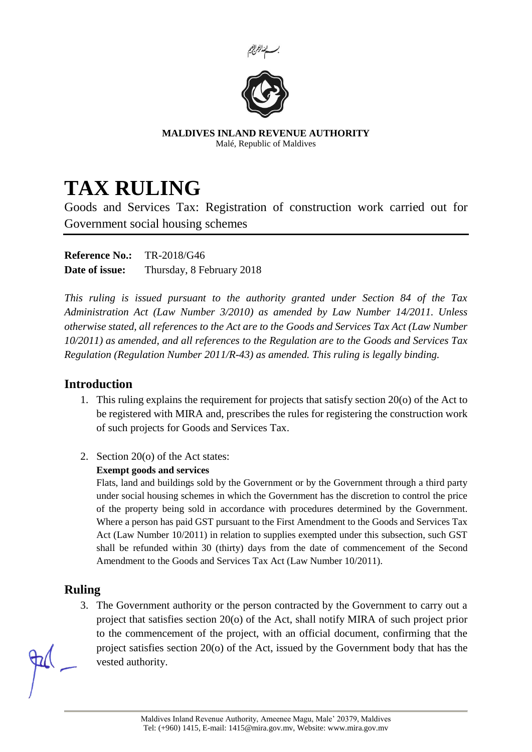



**MALDIVES INLAND REVENUE AUTHORITY** Malé, Republic of Maldives

# **TAX RULING**

Goods and Services Tax: Registration of construction work carried out for Government social housing schemes

**Reference No.:** TR-2018/G46 **Date of issue:** Thursday, 8 February 2018

*This ruling is issued pursuant to the authority granted under Section 84 of the Tax Administration Act (Law Number 3/2010) as amended by Law Number 14/2011. Unless otherwise stated, all references to the Act are to the Goods and Services Tax Act (Law Number 10/2011) as amended, and all references to the Regulation are to the Goods and Services Tax Regulation (Regulation Number 2011/R-43) as amended. This ruling is legally binding.*

# **Introduction**

- 1. This ruling explains the requirement for projects that satisfy section 20(o) of the Act to be registered with MIRA and, prescribes the rules for registering the construction work of such projects for Goods and Services Tax.
- 2. Section 20(o) of the Act states:

### **Exempt goods and services**

Flats, land and buildings sold by the Government or by the Government through a third party under social housing schemes in which the Government has the discretion to control the price of the property being sold in accordance with procedures determined by the Government. Where a person has paid GST pursuant to the First Amendment to the Goods and Services Tax Act (Law Number 10/2011) in relation to supplies exempted under this subsection, such GST shall be refunded within 30 (thirty) days from the date of commencement of the Second Amendment to the Goods and Services Tax Act (Law Number 10/2011).

# **Ruling**

3. The Government authority or the person contracted by the Government to carry out a project that satisfies section 20(o) of the Act, shall notify MIRA of such project prior to the commencement of the project, with an official document, confirming that the project satisfies section 20(o) of the Act, issued by the Government body that has the vested authority.

Maldives Inland Revenue Authority, Ameenee Magu, Male' 20379, Maldives Tel: (+960) 1415, E-mail: 1415@mira.gov.mv, Website: www.mira.gov.mv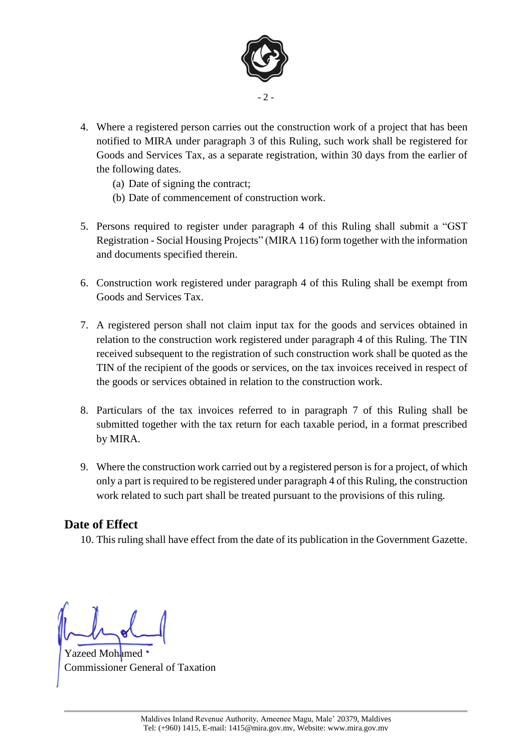

- 4. Where a registered person carries out the construction work of a project that has been notified to MIRA under paragraph 3 of this Ruling, such work shall be registered for Goods and Services Tax, as a separate registration, within 30 days from the earlier of the following dates.
	- (a) Date of signing the contract;
	- (b) Date of commencement of construction work.
- 5. Persons required to register under paragraph 4 of this Ruling shall submit a "GST Registration - Social Housing Projects" (MIRA 116) form together with the information and documents specified therein.
- 6. Construction work registered under paragraph 4 of this Ruling shall be exempt from Goods and Services Tax.
- 7. A registered person shall not claim input tax for the goods and services obtained in relation to the construction work registered under paragraph 4 of this Ruling. The TIN received subsequent to the registration of such construction work shall be quoted as the TIN of the recipient of the goods or services, on the tax invoices received in respect of the goods or services obtained in relation to the construction work.
- 8. Particulars of the tax invoices referred to in paragraph 7 of this Ruling shall be submitted together with the tax return for each taxable period, in a format prescribed by MIRA.
- 9. Where the construction work carried out by a registered person is for a project, of which only a part is required to be registered under paragraph 4 of this Ruling, the construction work related to such part shall be treated pursuant to the provisions of this ruling.

### **Date of Effect**

10. This ruling shall have effect from the date of its publication in the Government Gazette.

Yazeed Mohamed Commissioner General of Taxation